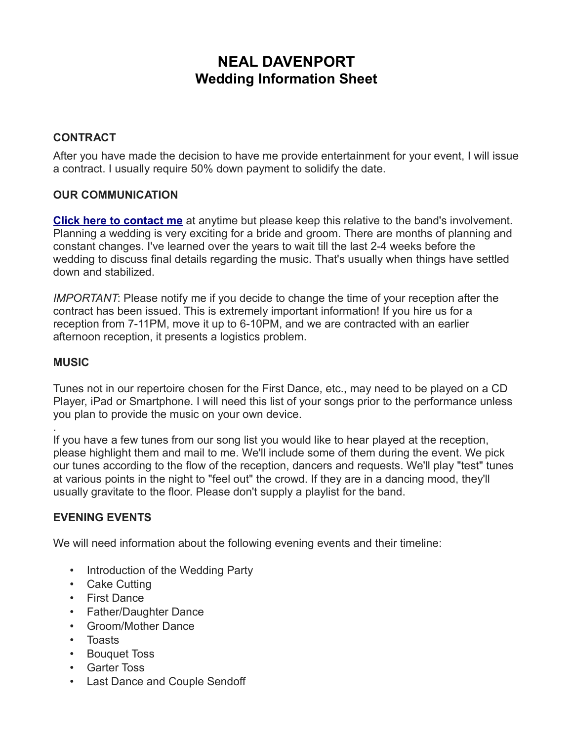# **NEAL DAVENPORT Wedding Information Sheet**

## **CONTRACT**

After you have made the decision to have me provide entertainment for your event, I will issue a contract. I usually require 50% down payment to solidify the date.

## **OUR COMMUNICATION**

**[Click here to contact me](mailto:neal@nealdavenport.com)** at anytime but please keep this relative to the band's involvement. Planning a wedding is very exciting for a bride and groom. There are months of planning and constant changes. I've learned over the years to wait till the last 2-4 weeks before the wedding to discuss final details regarding the music. That's usually when things have settled down and stabilized.

*IMPORTANT*: Please notify me if you decide to change the time of your reception after the contract has been issued. This is extremely important information! If you hire us for a reception from 7-11PM, move it up to 6-10PM, and we are contracted with an earlier afternoon reception, it presents a logistics problem.

#### **MUSIC**

.

Tunes not in our repertoire chosen for the First Dance, etc., may need to be played on a CD Player, iPad or Smartphone. I will need this list of your songs prior to the performance unless you plan to provide the music on your own device.

If you have a few tunes from our song list you would like to hear played at the reception, please highlight them and mail to me. We'll include some of them during the event. We pick our tunes according to the flow of the reception, dancers and requests. We'll play "test" tunes at various points in the night to "feel out" the crowd. If they are in a dancing mood, they'll usually gravitate to the floor. Please don't supply a playlist for the band.

## **EVENING EVENTS**

We will need information about the following evening events and their timeline:

- Introduction of the Wedding Party
- Cake Cutting
- First Dance
- Father/Daughter Dance
- Groom/Mother Dance
- Toasts
- Bouquet Toss
- Garter Toss
- Last Dance and Couple Sendoff